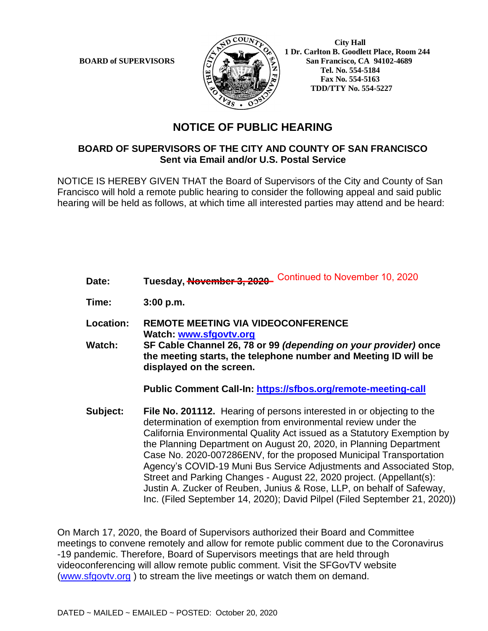

 **City Hall 1 Dr. Carlton B. Goodlett Place, Room 244 BOARD of SUPERVISORS**  $\left(\frac{S}{I}\right)$   $\oplus$   $\left(\frac{S}{I}\right)$  San Francisco, CA 94102-4689  **Tel. No. 554-5184 Fax No. 554-5163 TDD/TTY No. 554-5227**

## **NOTICE OF PUBLIC HEARING**

## **BOARD OF SUPERVISORS OF THE CITY AND COUNTY OF SAN FRANCISCO Sent via Email and/or U.S. Postal Service**

NOTICE IS HEREBY GIVEN THAT the Board of Supervisors of the City and County of San Francisco will hold a remote public hearing to consider the following appeal and said public hearing will be held as follows, at which time all interested parties may attend and be heard:

- **Date: Tuesday, November 3, 2020** \_\_\_\_\_\_\_\_\_\_\_\_\_\_\_\_\_\_ Continued to November 10, 2020
- **Time: 3:00 p.m.**
- **Location: REMOTE MEETING VIA VIDEOCONFERENCE Watch: www.sfgovtv.org**
- **Watch: SF Cable Channel 26, 78 or 99** *(depending on your provider)* **once the meeting starts, the telephone number and Meeting ID will be displayed on the screen.**

**Public Comment Call-In: https://sfbos.org/remote-meeting-call**

**Subject: File No. 201112.** Hearing of persons interested in or objecting to the determination of exemption from environmental review under the California Environmental Quality Act issued as a Statutory Exemption by the Planning Department on August 20, 2020, in Planning Department Case No. 2020-007286ENV, for the proposed Municipal Transportation Agency's COVID-19 Muni Bus Service Adjustments and Associated Stop, Street and Parking Changes - August 22, 2020 project. (Appellant(s): Justin A. Zucker of Reuben, Junius & Rose, LLP, on behalf of Safeway, Inc. (Filed September 14, 2020); David Pilpel (Filed September 21, 2020))

On March 17, 2020, the Board of Supervisors authorized their Board and Committee meetings to convene remotely and allow for remote public comment due to the Coronavirus -19 pandemic. Therefore, Board of Supervisors meetings that are held through videoconferencing will allow remote public comment. Visit the SFGovTV website (www.sfgovtv.org ) to stream the live meetings or watch them on demand.